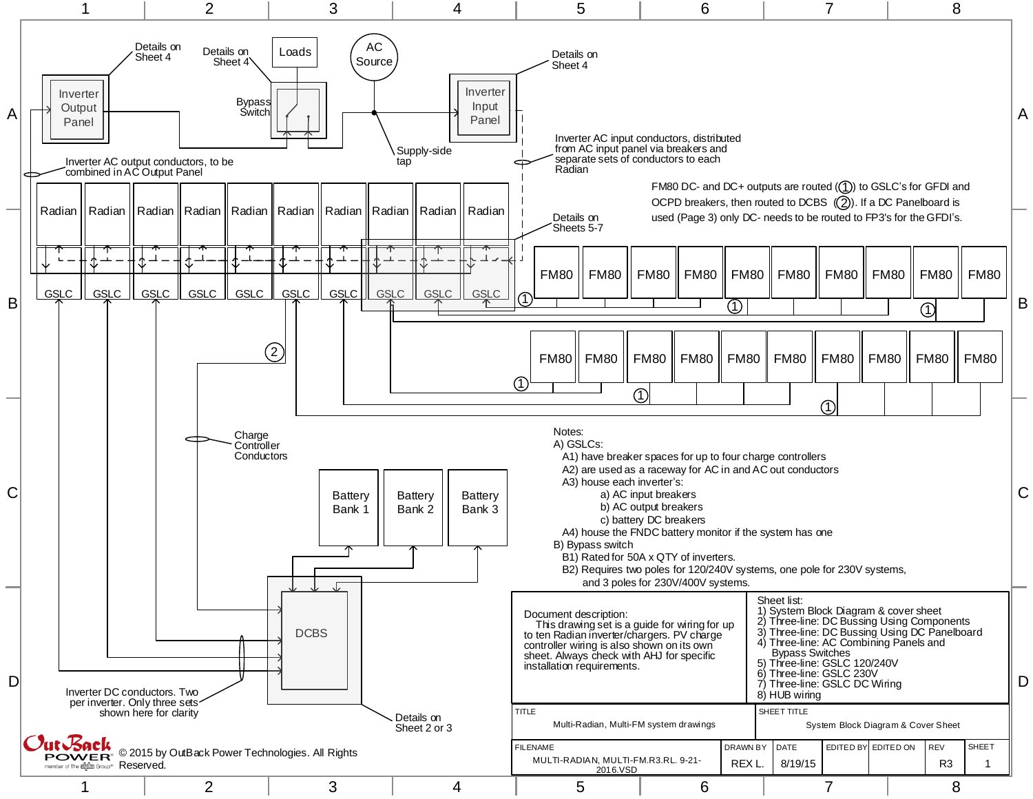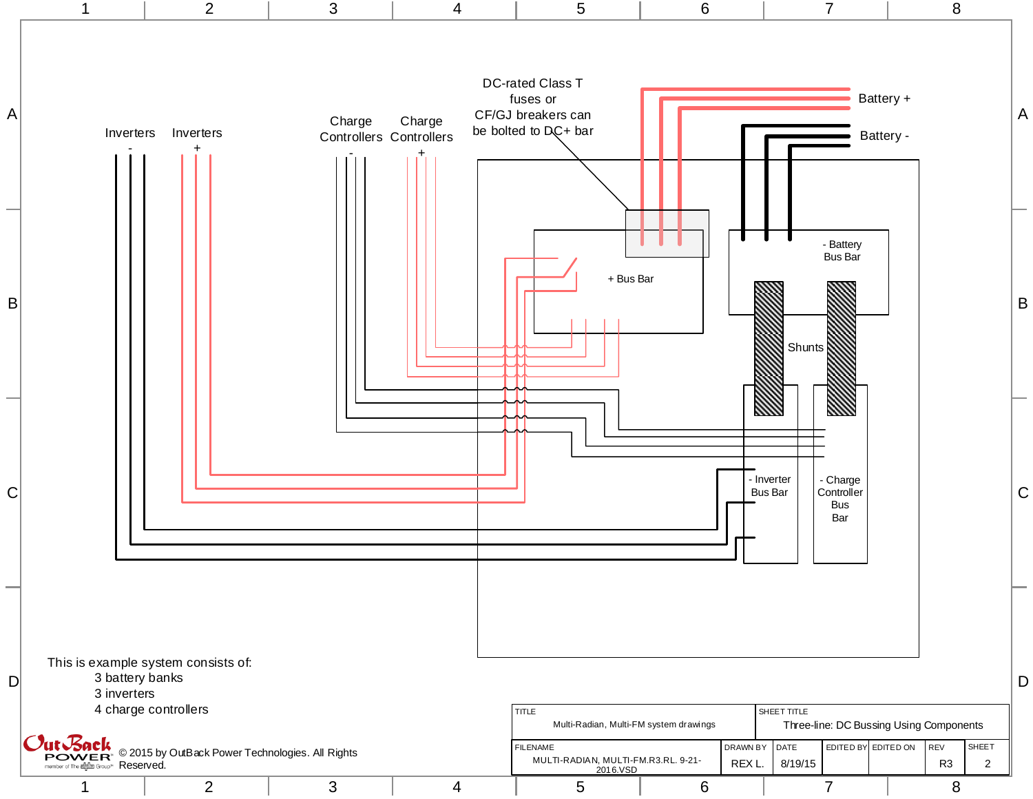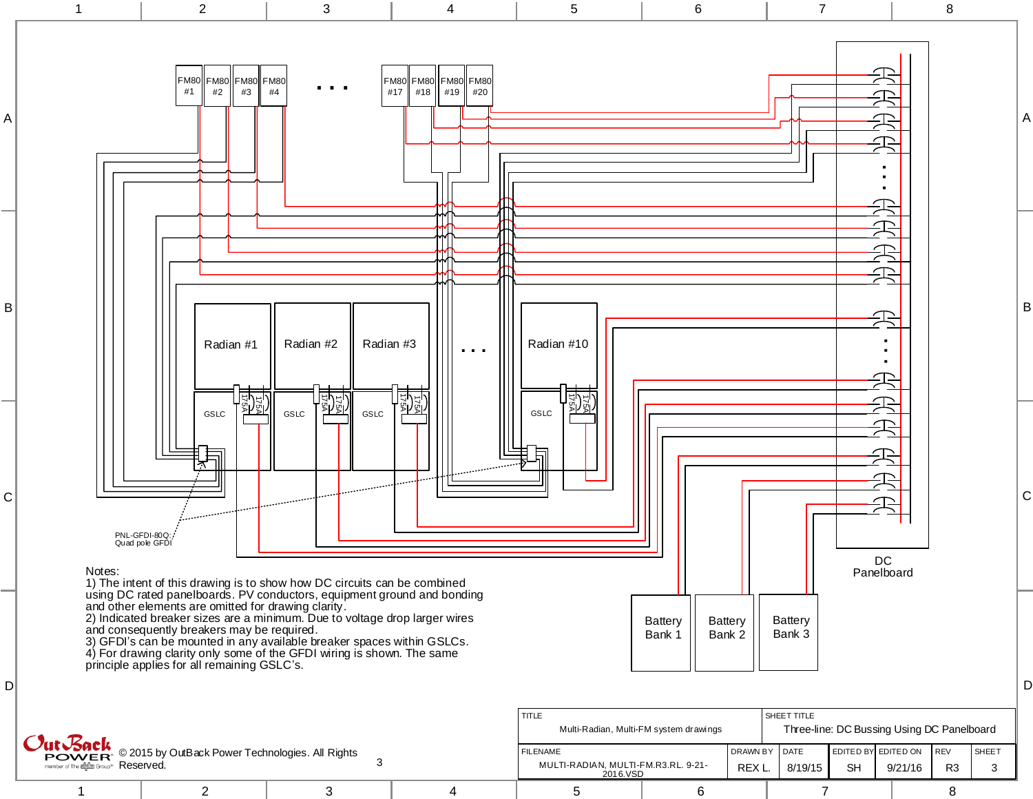

|                                                                                                                                                                      |  |  |                                                                    | Multi-Radian, Multi-FM system drawings |                                  |         | Three-line: DC Bussing Using DC Pa |                                     |    |  |
|----------------------------------------------------------------------------------------------------------------------------------------------------------------------|--|--|--------------------------------------------------------------------|----------------------------------------|----------------------------------|---------|------------------------------------|-------------------------------------|----|--|
| <sup>1</sup> <i>Out Back</i><br>POWER <sup>®</sup> © 2015 by OutBack Power Technologies. All Rights<br>member of The alplan Group <sup>14</sup> $\mathsf{Reserved.}$ |  |  | <b>FILENAME</b><br>MULTI-RADIAN. MULTI-FM.R3.RL. 9-21-<br>2016.VSD |                                        | <b>IDRAWN BY IDATE</b><br>REX L. | 8/19/15 | <b>SH</b>                          | EDITED BY EDITED ON IREV<br>9/21/16 | R. |  |
|                                                                                                                                                                      |  |  |                                                                    |                                        |                                  |         |                                    |                                     |    |  |

D

C

B

A

SHEET 3

REV R3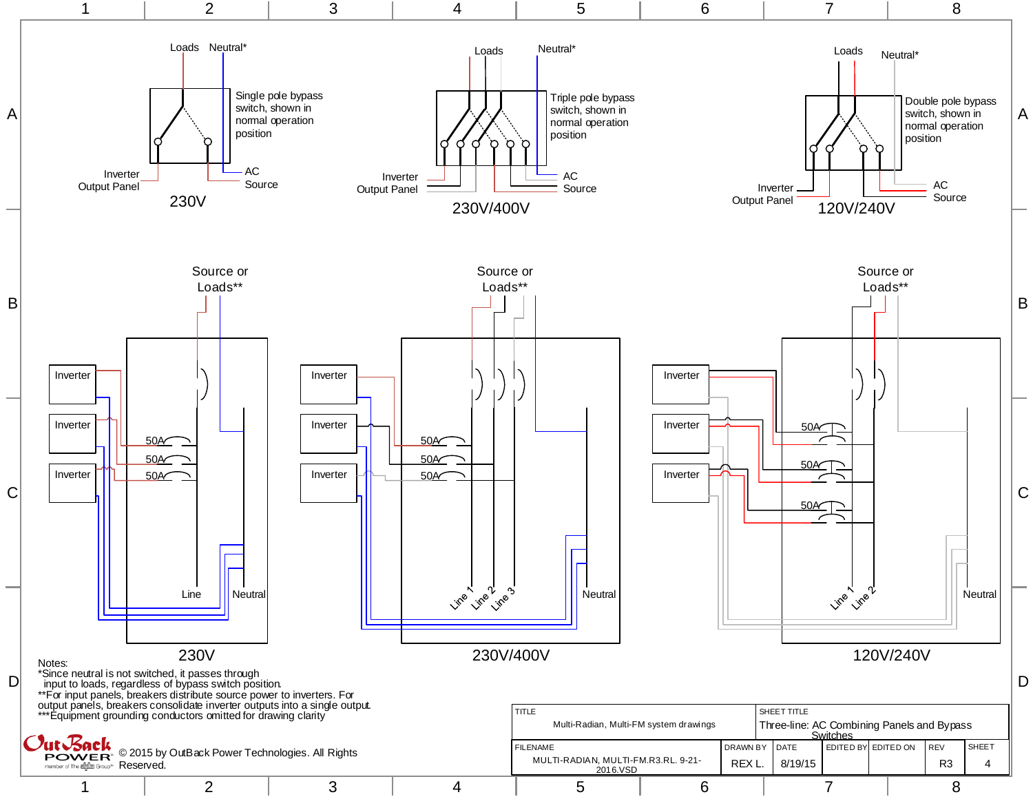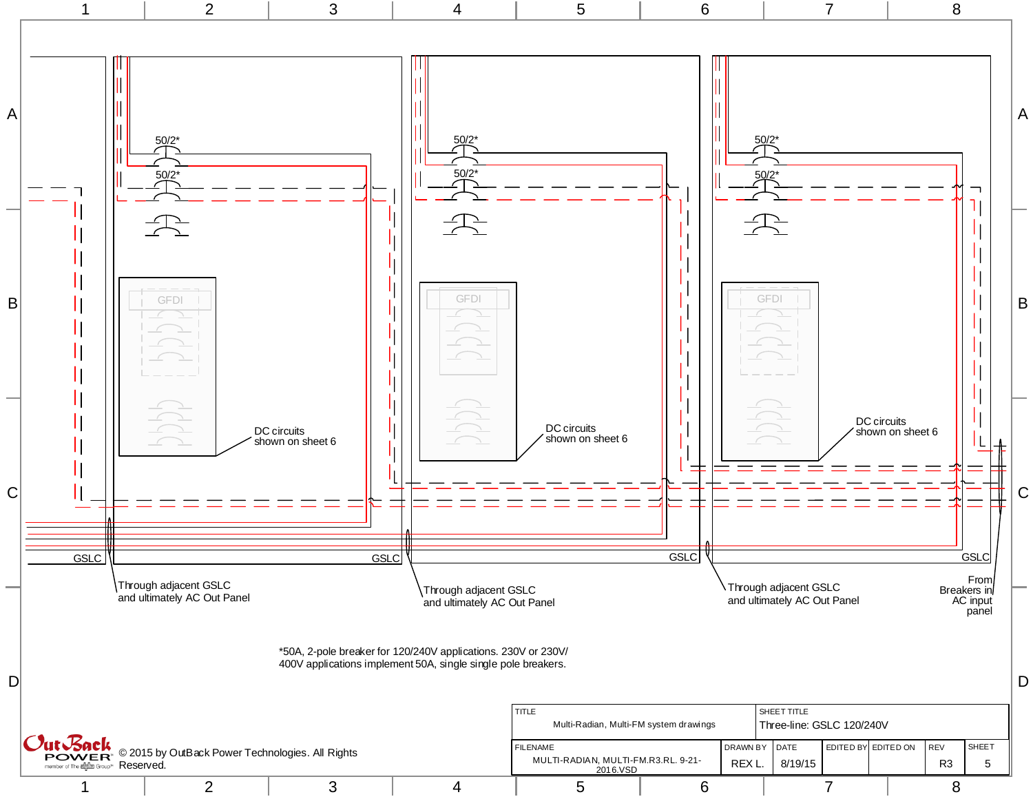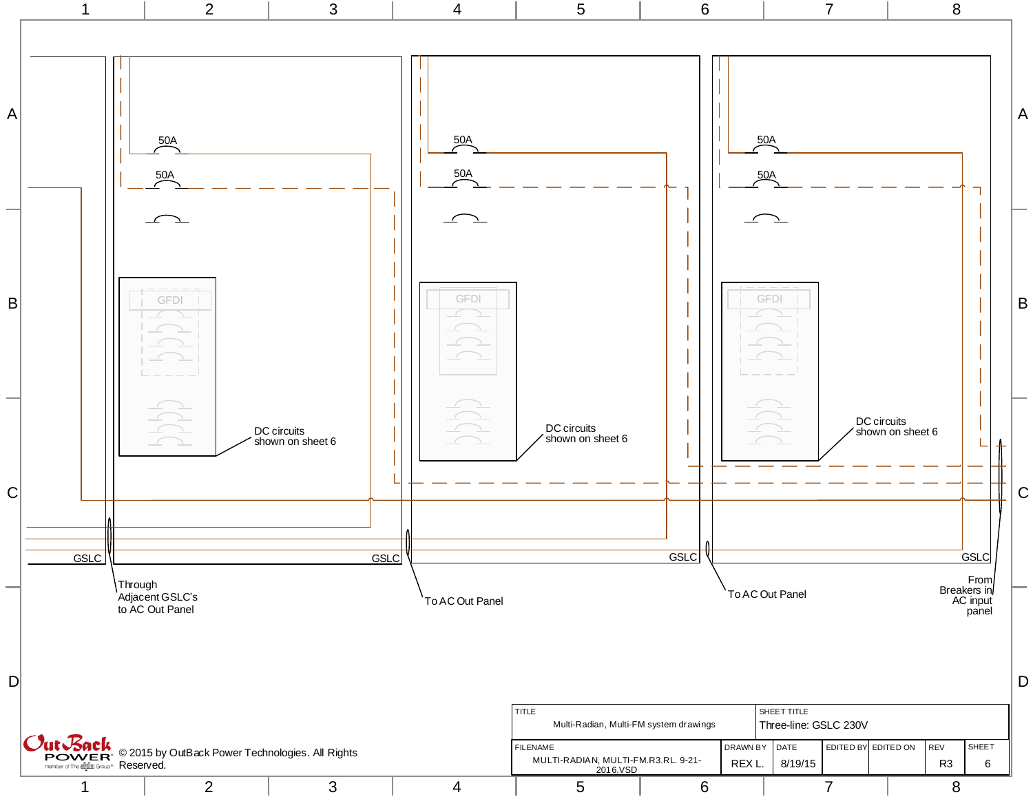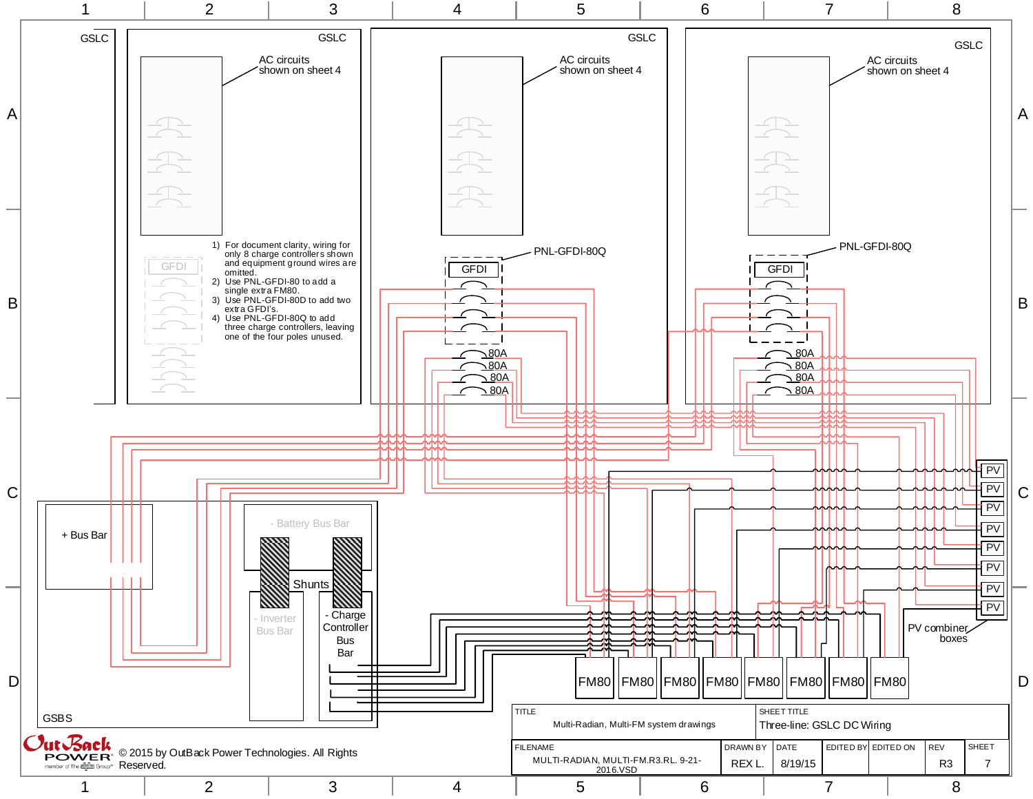